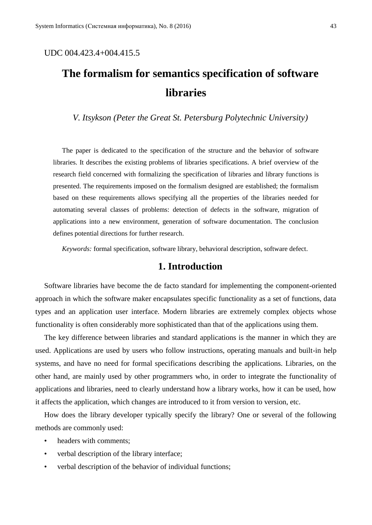### UDC 004.423.4+004.415.5

# **The formalism for semantics specification of software libraries**

*V. Itsykson (Peter the Great St. Petersburg Polytechnic University)*

The paper is dedicated to the specification of the structure and the behavior of software libraries. It describes the existing problems of libraries specifications. A brief overview of the research field concerned with formalizing the specification of libraries and library functions is presented. The requirements imposed on the formalism designed are established; the formalism based on these requirements allows specifying all the properties of the libraries needed for automating several classes of problems: detection of defects in the software, migration of applications into a new environment, generation of software documentation. The conclusion defines potential directions for further research.

*Keywords:* formal specification, software library, behavioral description, software defect.

### **1. Introduction**

Software libraries have become the de facto standard for implementing the component-oriented approach in which the software maker encapsulates specific functionality as a set of functions, data types and an application user interface. Modern libraries are extremely complex objects whose functionality is often considerably more sophisticated than that of the applications using them.

The key difference between libraries and standard applications is the manner in which they are used. Applications are used by users who follow instructions, operating manuals and built-in help systems, and have no need for formal specifications describing the applications. Libraries, on the other hand, are mainly used by other programmers who, in order to integrate the functionality of applications and libraries, need to clearly understand how a library works, how it can be used, how it affects the application, which changes are introduced to it from version to version, etc.

How does the library developer typically specify the library? One or several of the following methods are commonly used:

- headers with comments:
- verbal description of the library interface;
- verbal description of the behavior of individual functions;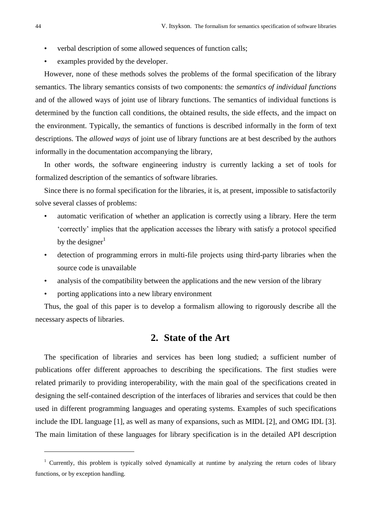- verbal description of some allowed sequences of function calls;
- examples provided by the developer.

However, none of these methods solves the problems of the formal specification of the library semantics. The library semantics consists of two components: the *semantics of individual functions* and of the allowed ways of joint use of library functions. The semantics of individual functions is determined by the function call conditions, the obtained results, the side effects, and the impact on the environment. Typically, the semantics of functions is described informally in the form of text descriptions. The *allowed ways* of joint use of library functions are at best described by the authors informally in the documentation accompanying the library,

In other words, the software engineering industry is currently lacking a set of tools for formalized description of the semantics of software libraries.

Since there is no formal specification for the libraries, it is, at present, impossible to satisfactorily solve several classes of problems:

- automatic verification of whether an application is correctly using a library. Here the term 'correctly' implies that the application accesses the library with satisfy a protocol specified by the designer $1$
- detection of programming errors in multi-file projects using third-party libraries when the source code is unavailable
- analysis of the compatibility between the applications and the new version of the library
- porting applications into a new library environment

Thus, the goal of this paper is to develop a formalism allowing to rigorously describe all the necessary aspects of libraries.

### **2. State of the Art**

The specification of libraries and services has been long studied; a sufficient number of publications offer different approaches to describing the specifications. The first studies were related primarily to providing interoperability, with the main goal of the specifications created in designing the self-contained description of the interfaces of libraries and services that could be then used in different programming languages and operating systems. Examples of such specifications include the IDL language [1], as well as many of expansions, such as MIDL [2], and OMG IDL [3]. The main limitation of these languages for library specification is in the detailed API description

<u>.</u>

<sup>&</sup>lt;sup>1</sup> Currently, this problem is typically solved dynamically at runtime by analyzing the return codes of library functions, or by exception handling.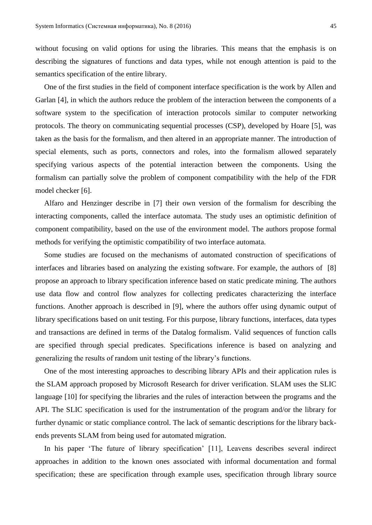without focusing on valid options for using the libraries. This means that the emphasis is on describing the signatures of functions and data types, while not enough attention is paid to the semantics specification of the entire library.

One of the first studies in the field of component interface specification is the work by Allen and Garlan [4], in which the authors reduce the problem of the interaction between the components of a software system to the specification of interaction protocols similar to computer networking protocols. The theory on communicating sequential processes (CSP), developed by Hoare [5], was taken as the basis for the formalism, and then altered in an appropriate manner. The introduction of special elements, such as ports, connectors and roles, into the formalism allowed separately specifying various aspects of the potential interaction between the components. Using the formalism can partially solve the problem of component compatibility with the help of the FDR model checker [6].

Alfaro and Henzinger describe in [7] their own version of the formalism for describing the interacting components, called the interface automata. The study uses an optimistic definition of component compatibility, based on the use of the environment model. The authors propose formal methods for verifying the optimistic compatibility of two interface automata.

Some studies are focused on the mechanisms of automated construction of specifications of interfaces and libraries based on analyzing the existing software. For example, the authors of [8] propose an approach to library specification inference based on static predicate mining. The authors use data flow and control flow analyzes for collecting predicates characterizing the interface functions. Another approach is described in [9], where the authors offer using dynamic output of library specifications based on unit testing. For this purpose, library functions, interfaces, data types and transactions are defined in terms of the Datalog formalism. Valid sequences of function calls are specified through special predicates. Specifications inference is based on analyzing and generalizing the results of random unit testing of the library's functions.

One of the most interesting approaches to describing library APIs and their application rules is the SLAM approach proposed by Microsoft Research for driver verification. SLAM uses the SLIC language [10] for specifying the libraries and the rules of interaction between the programs and the API. The SLIC specification is used for the instrumentation of the program and/or the library for further dynamic or static compliance control. The lack of semantic descriptions for the library backends prevents SLAM from being used for automated migration.

In his paper 'The future of library specification' [11], Leavens describes several indirect approaches in addition to the known ones associated with informal documentation and formal specification; these are specification through example uses, specification through library source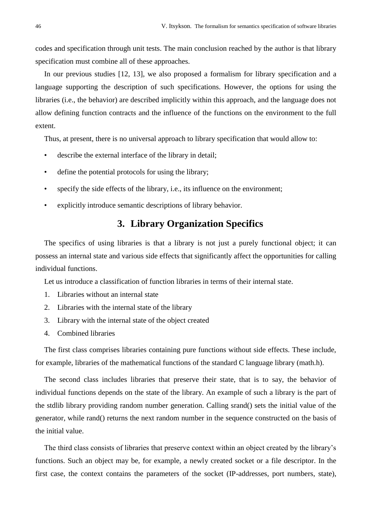codes and specification through unit tests. The main conclusion reached by the author is that library specification must combine all of these approaches.

In our previous studies [12, 13], we also proposed a formalism for library specification and a language supporting the description of such specifications. However, the options for using the libraries (i.e., the behavior) are described implicitly within this approach, and the language does not allow defining function contracts and the influence of the functions on the environment to the full extent.

Thus, at present, there is no universal approach to library specification that would allow to:

- describe the external interface of the library in detail;
- define the potential protocols for using the library;
- specify the side effects of the library, i.e., its influence on the environment;
- explicitly introduce semantic descriptions of library behavior.

# **3. Library Organization Specifics**

The specifics of using libraries is that a library is not just a purely functional object; it can possess an internal state and various side effects that significantly affect the opportunities for calling individual functions.

Let us introduce a classification of function libraries in terms of their internal state.

- 1. Libraries without an internal state
- 2. Libraries with the internal state of the library
- 3. Library with the internal state of the object created
- 4. Combined libraries

The first class comprises libraries containing pure functions without side effects. These include, for example, libraries of the mathematical functions of the standard C language library (math.h).

The second class includes libraries that preserve their state, that is to say, the behavior of individual functions depends on the state of the library. An example of such a library is the part of the stdlib library providing random number generation. Calling srand() sets the initial value of the generator, while rand() returns the next random number in the sequence constructed on the basis of the initial value.

The third class consists of libraries that preserve context within an object created by the library's functions. Such an object may be, for example, a newly created socket or a file descriptor. In the first case, the context contains the parameters of the socket (IP-addresses, port numbers, state),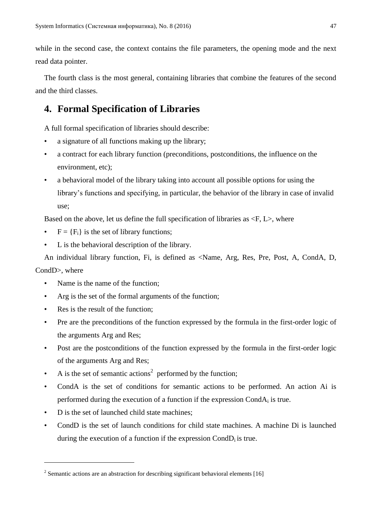while in the second case, the context contains the file parameters, the opening mode and the next read data pointer.

The fourth class is the most general, containing libraries that combine the features of the second and the third classes.

# **4. Formal Specification of Libraries**

A full formal specification of libraries should describe:

- a signature of all functions making up the library;
- a contract for each library function (preconditions, postconditions, the influence on the environment, etc);
- a behavioral model of the library taking into account all possible options for using the library's functions and specifying, in particular, the behavior of the library in case of invalid use;

Based on the above, let us define the full specification of libraries as  $\langle F, L \rangle$ , where

- $F = {F_i}$  is the set of library functions;
- L is the behavioral description of the library.

An individual library function, Fi, is defined as <Name, Arg, Res, Pre, Post, A, CondA, D,

#### CondD>, where

1

- Name is the name of the function:
- Arg is the set of the formal arguments of the function;
- Res is the result of the function:
- Pre are the preconditions of the function expressed by the formula in the first-order logic of the arguments Arg and Res;
- Post are the postconditions of the function expressed by the formula in the first-order logic of the arguments Arg and Res;
- A is the set of semantic actions<sup>2</sup> performed by the function;
- CondA is the set of conditions for semantic actions to be performed. An action Ai is performed during the execution of a function if the expression CondA<sup>i</sup> is true.
- D is the set of launched child state machines;
- CondD is the set of launch conditions for child state machines. A machine Di is launched during the execution of a function if the expression  $Cond<sub>i</sub>$  is true.

 $2^{2}$  Semantic actions are an abstraction for describing significant behavioral elements [16]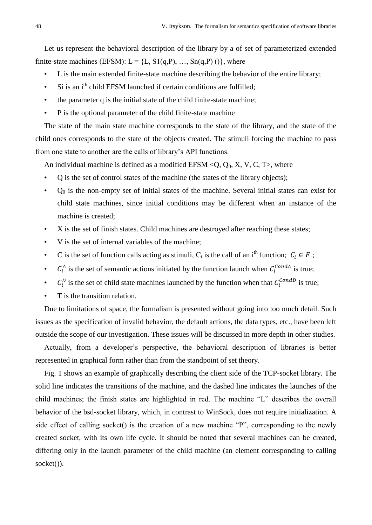Let us represent the behavioral description of the library by a of set of parameterized extended finite-state machines (EFSM):  $L = \{L, S1(q, P), ..., Sn(q, P) \}$ , where

- L is the main extended finite-state machine describing the behavior of the entire library;
- Si is an  $i<sup>th</sup>$  child EFSM launched if certain conditions are fulfilled:
- the parameter q is the initial state of the child finite-state machine;
- P is the optional parameter of the child finite-state machine

The state of the main state machine corresponds to the state of the library, and the state of the child ones corresponds to the state of the objects created. The stimuli forcing the machine to pass from one state to another are the calls of library's API functions.

An individual machine is defined as a modified EFSM < $Q$ ,  $Q_0$ , X, V, C, T >, where

- Q is the set of control states of the machine (the states of the library objects);
- $Q<sub>0</sub>$  is the non-empty set of initial states of the machine. Several initial states can exist for child state machines, since initial conditions may be different when an instance of the machine is created;
- X is the set of finish states. Child machines are destroyed after reaching these states;
- V is the set of internal variables of the machine;
- C is the set of function calls acting as stimuli, C<sub>i</sub> is the call of an i<sup>th</sup> function;  $C_i \in F$ ;
- $C_i^A$  is the set of semantic actions initiated by the function launch when  $C_i^{CondA}$  is true;
- $C_i^D$  is the set of child state machines launched by the function when that  $C_i^{CondD}$  is true;
- T is the transition relation.

Due to limitations of space, the formalism is presented without going into too much detail. Such issues as the specification of invalid behavior, the default actions, the data types, etc., have been left outside the scope of our investigation. These issues will be discussed in more depth in other studies.

Actually, from a developer's perspective, the behavioral description of libraries is better represented in graphical form rather than from the standpoint of set theory.

Fig. 1 shows an example of graphically describing the client side of the TCP-socket library. The solid line indicates the transitions of the machine, and the dashed line indicates the launches of the child machines; the finish states are highlighted in red. The machine "L" describes the overall behavior of the bsd-socket library, which, in contrast to WinSock, does not require initialization. A side effect of calling socket() is the creation of a new machine "P", corresponding to the newly created socket, with its own life cycle. It should be noted that several machines can be created, differing only in the launch parameter of the child machine (an element corresponding to calling socket()).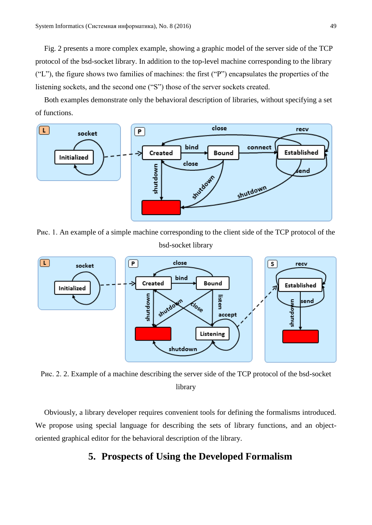Fig. 2 presents a more complex example, showing a graphic model of the server side of the TCP protocol of the bsd-socket library. In addition to the top-level machine corresponding to the library ("L"), the figure shows two families of machines: the first ("P") encapsulates the properties of the listening sockets, and the second one ("S") those of the server sockets created.

Both examples demonstrate only the behavioral description of libraries, without specifying a set of functions.



Рис. 1. An example of a simple machine corresponding to the client side of the TCP protocol of the bsd-socket library



Рис. 2. 2. Example of a machine describing the server side of the TCP protocol of the bsd-socket library

Obviously, a library developer requires convenient tools for defining the formalisms introduced. We propose using special language for describing the sets of library functions, and an objectoriented graphical editor for the behavioral description of the library.

# **5. Prospects of Using the Developed Formalism**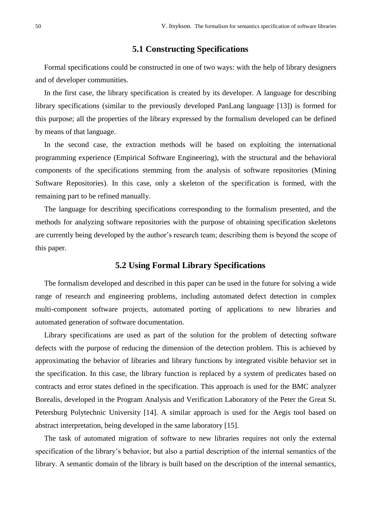### **5.1 Constructing Specifications**

Formal specifications could be constructed in one of two ways: with the help of library designers and of developer communities.

In the first case, the library specification is created by its developer. A language for describing library specifications (similar to the previously developed PanLang language [13]) is formed for this purpose; all the properties of the library expressed by the formalism developed can be defined by means of that language.

In the second case, the extraction methods will be based on exploiting the international programming experience (Empirical Software Engineering), with the structural and the behavioral components of the specifications stemming from the analysis of software repositories (Mining Software Repositories). In this case, only a skeleton of the specification is formed, with the remaining part to be refined manually.

The language for describing specifications corresponding to the formalism presented, and the methods for analyzing software repositories with the purpose of obtaining specification skeletons are currently being developed by the author's research team; describing them is beyond the scope of this paper.

#### **5.2 Using Formal Library Specifications**

The formalism developed and described in this paper can be used in the future for solving a wide range of research and engineering problems, including automated defect detection in complex multi-component software projects, automated porting of applications to new libraries and automated generation of software documentation.

Library specifications are used as part of the solution for the problem of detecting software defects with the purpose of reducing the dimension of the detection problem. This is achieved by approximating the behavior of libraries and library functions by integrated visible behavior set in the specification. In this case, the library function is replaced by a system of predicates based on contracts and error states defined in the specification. This approach is used for the BMC analyzer Borealis, developed in the Program Analysis and Verification Laboratory of the Peter the Great St. Petersburg Polytechnic University [14]. A similar approach is used for the Aegis tool based on abstract interpretation, being developed in the same laboratory [15].

The task of automated migration of software to new libraries requires not only the external specification of the library's behavior, but also a partial description of the internal semantics of the library. A semantic domain of the library is built based on the description of the internal semantics,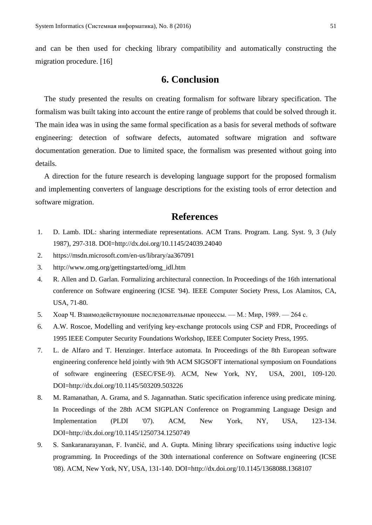and can be then used for checking library compatibility and automatically constructing the migration procedure. [16]

# **6. Conclusion**

The study presented the results on creating formalism for software library specification. The formalism was built taking into account the entire range of problems that could be solved through it. The main idea was in using the same formal specification as a basis for several methods of software engineering: detection of software defects, automated software migration and software documentation generation. Due to limited space, the formalism was presented without going into details.

A direction for the future research is developing language support for the proposed formalism and implementing converters of language descriptions for the existing tools of error detection and software migration.

# **References**

- 1. D. Lamb. IDL: sharing intermediate representations. ACM Trans. Program. Lang. Syst. 9, 3 (July 1987), 297-318. DOI=http://dx.doi.org/10.1145/24039.24040
- 2. https://msdn.microsoft.com/en-us/library/aa367091
- 3. http://www.omg.org/gettingstarted/omg\_idl.htm
- 4. R. Allen and D. Garlan. Formalizing architectural connection. In Proceedings of the 16th international conference on Software engineering (ICSE '94). IEEE Computer Society Press, Los Alamitos, CA, USA, 71-80.
- 5. Хоар Ч. Взаимодействующие последовательные процессы. М.: Мир, 1989. 264 с.
- 6. A.W. Roscoe, Modelling and verifying key-exchange protocols using CSP and FDR, Proceedings of 1995 IEEE Computer Security Foundations Workshop, IEEE Computer Society Press, 1995.
- 7. L. de Alfaro and T. Henzinger. Interface automata. In Proceedings of the 8th European software engineering conference held jointly with 9th ACM SIGSOFT international symposium on Foundations of software engineering (ESEC/FSE-9). ACM, New York, NY, USA, 2001, 109-120. DOI=http://dx.doi.org/10.1145/503209.503226
- 8. M. Ramanathan, A. Grama, and S. Jagannathan. Static specification inference using predicate mining. In Proceedings of the 28th ACM SIGPLAN Conference on Programming Language Design and Implementation (PLDI '07). ACM, New York, NY, USA, 123-134. DOI=http://dx.doi.org/10.1145/1250734.1250749
- 9. S. Sankaranarayanan, F. Ivančić, and A. Gupta. Mining library specifications using inductive logic programming. In Proceedings of the 30th international conference on Software engineering (ICSE '08). ACM, New York, NY, USA, 131-140. DOI=http://dx.doi.org/10.1145/1368088.1368107